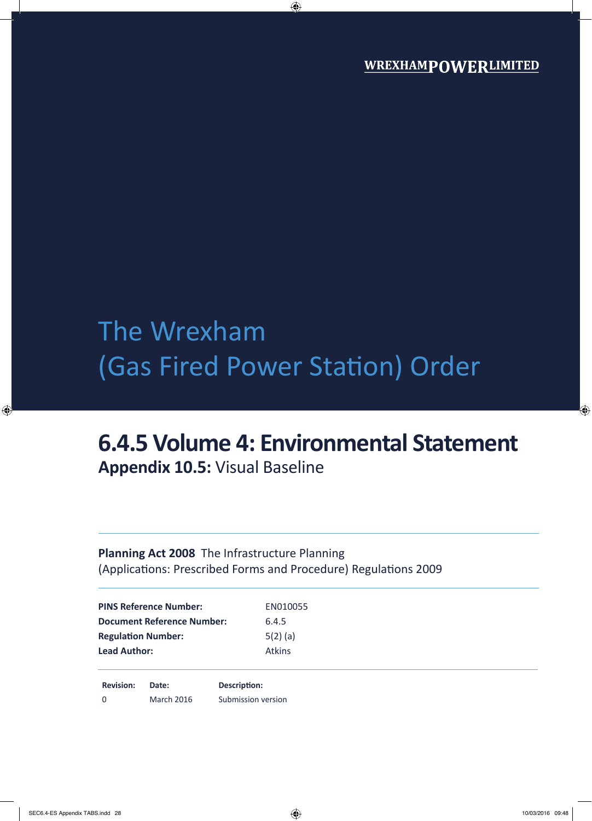# The Wrexham (Gas Fired Power Station) Order

## **6.4.5 Volume 4: Environmental Statement Appendix 10.5:** Visual Baseline

### **Planning Act 2008** The Infrastructure Planning (Applications: Prescribed Forms and Procedure) Regulations 2009

| <b>PINS Reference Number:</b>     | EN010055      |  |
|-----------------------------------|---------------|--|
| <b>Document Reference Number:</b> | 6.4.5         |  |
| <b>Regulation Number:</b>         | $5(2)$ (a)    |  |
| <b>Lead Author:</b>               | <b>Atkins</b> |  |
|                                   |               |  |
|                                   |               |  |

**Revision: Date: Description:** 0 March 2016 Submission version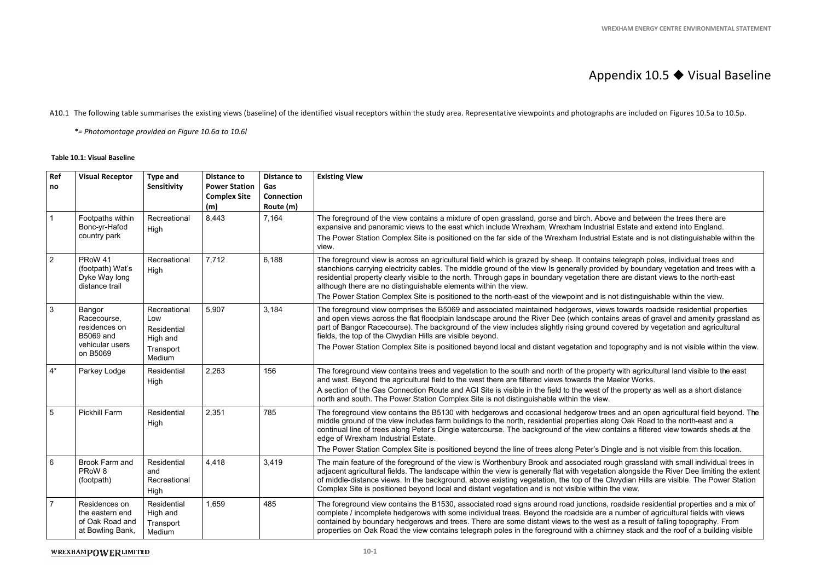### Appendix 10.5 ♦ Visual Baseline

#### **Table 10.1: Visual Baseline**

|                |                                                                         |                                                |                                                                          |                                                             | <b>WREXHAM ENERGY CENTRE ENVIRONMENTAL STATEMENT</b>                                                                                                                                                                                                                                                                                                                                                                                                                                                                                     |
|----------------|-------------------------------------------------------------------------|------------------------------------------------|--------------------------------------------------------------------------|-------------------------------------------------------------|------------------------------------------------------------------------------------------------------------------------------------------------------------------------------------------------------------------------------------------------------------------------------------------------------------------------------------------------------------------------------------------------------------------------------------------------------------------------------------------------------------------------------------------|
|                |                                                                         |                                                |                                                                          |                                                             |                                                                                                                                                                                                                                                                                                                                                                                                                                                                                                                                          |
|                |                                                                         |                                                |                                                                          |                                                             | Appendix $10.5 \blacktriangleright$ Visual Baseline                                                                                                                                                                                                                                                                                                                                                                                                                                                                                      |
|                |                                                                         |                                                |                                                                          |                                                             | A10.1 The following table summarises the existing views (baseline) of the identified visual receptors within the study area. Representative viewpoints and photographs are included on Figures 10.5a to 10.5p.                                                                                                                                                                                                                                                                                                                           |
|                | *= Photomontage provided on Figure 10.6a to 10.6l                       |                                                |                                                                          |                                                             |                                                                                                                                                                                                                                                                                                                                                                                                                                                                                                                                          |
|                | <b>Table 10.1: Visual Baseline</b>                                      |                                                |                                                                          |                                                             |                                                                                                                                                                                                                                                                                                                                                                                                                                                                                                                                          |
| Ref<br>no      | <b>Visual Receptor</b>                                                  | <b>Type and</b><br>Sensitivity                 | <b>Distance to</b><br><b>Power Station</b><br><b>Complex Site</b><br>(m) | <b>Distance to</b><br>Gas<br><b>Connection</b><br>Route (m) | <b>Existing View</b>                                                                                                                                                                                                                                                                                                                                                                                                                                                                                                                     |
|                | Footpaths within<br>Bonc-yr-Hafod<br>country park                       | Recreational<br>High                           | 8,443                                                                    | 7,164                                                       | The foreground of the view contains a mixture of open grassland, gorse and birch. Above and between the trees there are<br>expansive and panoramic views to the east which include Wrexham, Wrexham Industrial Estate and extend into England.<br>The Power Station Complex Site is positioned on the far side of the Wrexham Industrial Estate and is not distinguishable within the<br>view.                                                                                                                                           |
| $\overline{2}$ | PRoW 41<br>(footpath) Wat's<br>Dyke Way long<br>distance trail          | Recreational<br>High                           | 7,712                                                                    | 6,188                                                       | The foreground view is across an agricultural field which is grazed by sheep. It contains telegraph poles, individual trees and<br>stanchions carrying electricity cables. The middle ground of the view Is generally provided by boundary vegetation and trees with a<br>residential property clearly visible to the north. Through gaps in boundary vegetation there are distant views to the north-east<br>although there are no distinguishable elements within the view.                                                            |
|                |                                                                         |                                                |                                                                          |                                                             | The Power Station Complex Site is positioned to the north-east of the viewpoint and is not distinguishable within the view.                                                                                                                                                                                                                                                                                                                                                                                                              |
| 3              | Bangor<br>Racecourse,<br>residences on<br><b>B5069 and</b>              | Recreational<br>Low<br>Residential<br>High and | 5,907                                                                    | 3,184                                                       | The foreground view comprises the B5069 and associated maintained hedgerows, views towards roadside residential properties<br>and open views across the flat floodplain landscape around the River Dee (which contains areas of gravel and amenity grassland as<br>part of Bangor Racecourse). The background of the view includes slightly rising ground covered by vegetation and agricultural<br>fields, the top of the Clwydian Hills are visible beyond.                                                                            |
|                | vehicular users<br>on B5069                                             | Transport<br>Medium                            |                                                                          |                                                             | The Power Station Complex Site is positioned beyond local and distant vegetation and topography and is not visible within the view.                                                                                                                                                                                                                                                                                                                                                                                                      |
| $4^*$          | Parkey Lodge                                                            | Residential<br>High                            | 2,263                                                                    | 156                                                         | The foreground view contains trees and vegetation to the south and north of the property with agricultural land visible to the east<br>and west. Beyond the agricultural field to the west there are filtered views towards the Maelor Works.                                                                                                                                                                                                                                                                                            |
|                |                                                                         |                                                |                                                                          |                                                             | A section of the Gas Connection Route and AGI Site is visible in the field to the west of the property as well as a short distance<br>north and south. The Power Station Complex Site is not distinguishable within the view.                                                                                                                                                                                                                                                                                                            |
| 5              | <b>Pickhill Farm</b>                                                    | Residential<br>High                            | 2,351                                                                    | 785                                                         | The foreground view contains the B5130 with hedgerows and occasional hedgerow trees and an open agricultural field beyond. The<br>middle ground of the view includes farm buildings to the north, residential properties along Oak Road to the north-east and a<br>continual line of trees along Peter's Dingle watercourse. The background of the view contains a filtered view towards sheds at the<br>edge of Wrexham Industrial Estate.                                                                                              |
|                |                                                                         |                                                |                                                                          |                                                             | The Power Station Complex Site is positioned beyond the line of trees along Peter's Dingle and is not visible from this location.                                                                                                                                                                                                                                                                                                                                                                                                        |
| $6\phantom{1}$ | Brook Farm and<br>PRoW <sub>8</sub><br>(footpath)                       | Residential<br>and<br>Recreational<br>High     | 4,418                                                                    | 3,419                                                       | The main feature of the foreground of the view is Worthenbury Brook and associated rough grassland with small individual trees in<br>adjacent agricultural fields. The landscape within the view is generally flat with vegetation alongside the River Dee limiting the extent<br>of middle-distance views. In the background, above existing vegetation, the top of the Clwydian Hills are visible. The Power Station<br>Complex Site is positioned beyond local and distant vegetation and is not visible within the view.             |
| $\overline{7}$ | Residences on<br>the eastern end<br>of Oak Road and<br>at Bowling Bank, | Residential<br>High and<br>Transport<br>Medium | ,659                                                                     | 485                                                         | The foreground view contains the B1530, associated road signs around road junctions, roadside residential properties and a mix of<br>complete / incomplete hedgerows with some individual trees. Beyond the roadside are a number of agricultural fields with views<br>contained by boundary hedgerows and trees. There are some distant views to the west as a result of falling topography. From<br>properties on Oak Road the view contains telegraph poles in the foreground with a chimney stack and the roof of a building visible |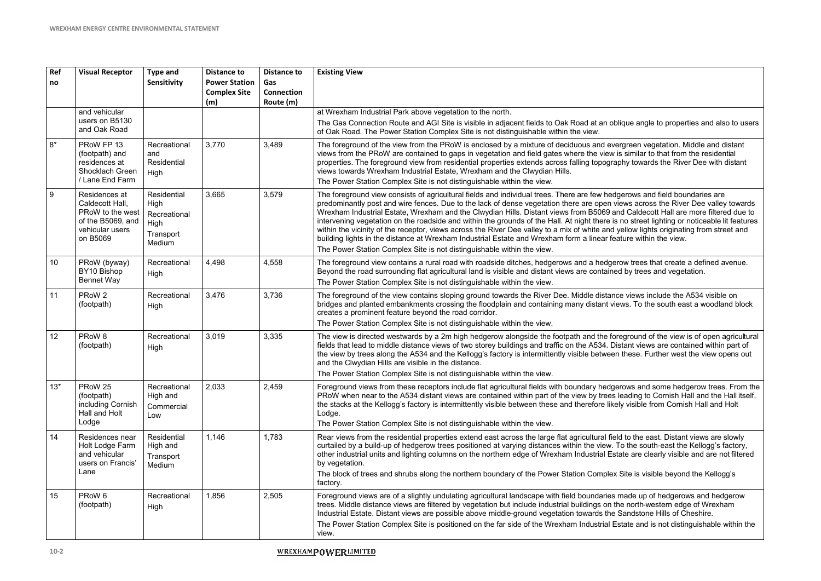| Ref<br>no | <b>Visual Receptor</b>                                                                                   | <b>Type and</b><br><b>Sensitivity</b>                                     | <b>Distance to</b><br><b>Power Station</b><br><b>Complex Site</b><br>(m) | <b>Distance to</b><br>Gas<br>Connection<br>Route (m) | <b>Existing View</b>                                                                                                                                                                                                                                                                                                                                                                                                                                                                                                                                                                                                                                                                                                                                                                                                                                                                   |
|-----------|----------------------------------------------------------------------------------------------------------|---------------------------------------------------------------------------|--------------------------------------------------------------------------|------------------------------------------------------|----------------------------------------------------------------------------------------------------------------------------------------------------------------------------------------------------------------------------------------------------------------------------------------------------------------------------------------------------------------------------------------------------------------------------------------------------------------------------------------------------------------------------------------------------------------------------------------------------------------------------------------------------------------------------------------------------------------------------------------------------------------------------------------------------------------------------------------------------------------------------------------|
|           | and vehicular<br>users on B5130<br>and Oak Road                                                          |                                                                           |                                                                          |                                                      | at Wrexham Industrial Park above vegetation to the north.<br>The Gas Connection Route and AGI Site is visible in adjacent fields to Oak Road at an oblique angle to properties and also to users<br>of Oak Road. The Power Station Complex Site is not distinguishable within the view.                                                                                                                                                                                                                                                                                                                                                                                                                                                                                                                                                                                                |
| $8*$      | PRoW FP 13<br>(footpath) and<br>residences at<br>Shocklach Green                                         | Recreational<br>and<br>Residential<br><b>High</b>                         | 3,770                                                                    | 3,489                                                | The foreground of the view from the PRoW is enclosed by a mixture of deciduous and evergreen vegetation. Middle and distant<br>views from the PRoW are contained to gaps in vegetation and field gates where the view is similar to that from the residential<br>properties. The foreground view from residential properties extends across falling topography towards the River Dee with distant<br>views towards Wrexham Industrial Estate, Wrexham and the Clwydian Hills.                                                                                                                                                                                                                                                                                                                                                                                                          |
|           | / Lane End Farm                                                                                          |                                                                           |                                                                          |                                                      | The Power Station Complex Site is not distinguishable within the view.                                                                                                                                                                                                                                                                                                                                                                                                                                                                                                                                                                                                                                                                                                                                                                                                                 |
| 9         | Residences at<br>Caldecott Hall,<br>PRoW to the west<br>of the B5069, and<br>vehicular users<br>on B5069 | Residential<br>High<br>Recreational<br><b>High</b><br>Transport<br>Medium | 3,665                                                                    | 3,579                                                | The foreground view consists of agricultural fields and individual trees. There are few hedgerows and field boundaries are<br>predominantly post and wire fences. Due to the lack of dense vegetation there are open views across the River Dee valley towards<br>Wrexham Industrial Estate, Wrexham and the Clwydian Hills. Distant views from B5069 and Caldecott Hall are more filtered due to<br>intervening vegetation on the roadside and within the grounds of the Hall. At night there is no street lighting or noticeable lit features<br>within the vicinity of the receptor, views across the River Dee valley to a mix of white and yellow lights originating from street and<br>building lights in the distance at Wrexham Industrial Estate and Wrexham form a linear feature within the view.<br>The Power Station Complex Site is not distinguishable within the view. |
| 10        | PRoW (byway)<br>BY10 Bishop<br>Bennet Way                                                                | Recreational<br>High                                                      | 4,498                                                                    | 4,558                                                | The foreground view contains a rural road with roadside ditches, hedgerows and a hedgerow trees that create a defined avenue.<br>Beyond the road surrounding flat agricultural land is visible and distant views are contained by trees and vegetation.<br>The Power Station Complex Site is not distinguishable within the view.                                                                                                                                                                                                                                                                                                                                                                                                                                                                                                                                                      |
| 11        | PRoW 2<br>(footpath)                                                                                     | Recreational<br>High                                                      | 3,476                                                                    | 3,736                                                | The foreground of the view contains sloping ground towards the River Dee. Middle distance views include the A534 visible on<br>bridges and planted embankments crossing the floodplain and containing many distant views. To the south east a woodland block<br>creates a prominent feature beyond the road corridor.                                                                                                                                                                                                                                                                                                                                                                                                                                                                                                                                                                  |
|           |                                                                                                          |                                                                           |                                                                          |                                                      | The Power Station Complex Site is not distinguishable within the view.                                                                                                                                                                                                                                                                                                                                                                                                                                                                                                                                                                                                                                                                                                                                                                                                                 |
| 12        | PRoW <sub>8</sub><br>(footpath)                                                                          | Recreational<br>High                                                      | 3,019                                                                    | 3,335                                                | The view is directed westwards by a 2m high hedgerow alongside the footpath and the foreground of the view is of open agricultural<br>fields that lead to middle distance views of two storey buildings and traffic on the A534. Distant views are contained within part of<br>the view by trees along the A534 and the Kellogg's factory is intermittently visible between these. Further west the view opens out<br>and the Clwydian Hills are visible in the distance.<br>The Power Station Complex Site is not distinguishable within the view.                                                                                                                                                                                                                                                                                                                                    |
| $13*$     | PRoW 25<br>(footpath)<br>including Cornish<br>Hall and Holt<br>Lodge                                     | Recreational<br>High and<br>Commercial<br>Low                             | 2,033                                                                    | 2,459                                                | Foreground views from these receptors include flat agricultural fields with boundary hedgerows and some hedgerow trees. From the<br>PRoW when near to the A534 distant views are contained within part of the view by trees leading to Cornish Hall and the Hall itself,<br>the stacks at the Kellogg's factory is intermittently visible between these and therefore likely visible from Cornish Hall and Holt<br>Lodge.<br>The Power Station Complex Site is not distinguishable within the view.                                                                                                                                                                                                                                                                                                                                                                                    |
| 14        | Residences near<br>Holt Lodge Farm<br>and vehicular<br>users on Francis'<br>Lane                         | Residential<br>High and<br>Transport<br>Medium                            | 1,146                                                                    | 1,783                                                | Rear views from the residential properties extend east across the large flat agricultural field to the east. Distant views are slowly<br>curtailed by a build-up of hedgerow trees positioned at varying distances within the view. To the south-east the Kellogg's factory,<br>other industrial units and lighting columns on the northern edge of Wrexham Industrial Estate are clearly visible and are not filtered<br>by vegetation.<br>The block of trees and shrubs along the northern boundary of the Power Station Complex Site is visible beyond the Kellogg's<br>factory.                                                                                                                                                                                                                                                                                                    |
| 15        | PRoW 6<br>(footpath)                                                                                     | Recreational<br>High                                                      | 1,856                                                                    | 2,505                                                | Foreground views are of a slightly undulating agricultural landscape with field boundaries made up of hedgerows and hedgerow<br>trees. Middle distance views are filtered by vegetation but include industrial buildings on the north-western edge of Wrexham<br>Industrial Estate. Distant views are possible above middle-ground vegetation towards the Sandstone Hills of Cheshire.<br>The Power Station Complex Site is positioned on the far side of the Wrexham Industrial Estate and is not distinguishable within the<br>view.                                                                                                                                                                                                                                                                                                                                                 |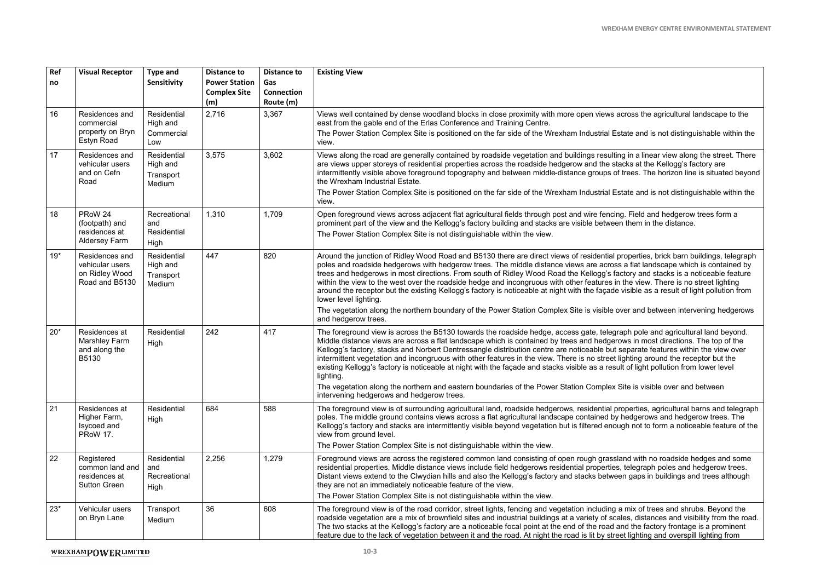|           |                                                                       |                                                |                                                                          |                                                             | <b>WREXHAM ENERGY CENTRE ENVIRONMENTAL STATEME</b>                                                                                                                                                                                                                                                                                                                                                                                                                                                                                                                                                                                                                                                                                                                                                                                                                         |
|-----------|-----------------------------------------------------------------------|------------------------------------------------|--------------------------------------------------------------------------|-------------------------------------------------------------|----------------------------------------------------------------------------------------------------------------------------------------------------------------------------------------------------------------------------------------------------------------------------------------------------------------------------------------------------------------------------------------------------------------------------------------------------------------------------------------------------------------------------------------------------------------------------------------------------------------------------------------------------------------------------------------------------------------------------------------------------------------------------------------------------------------------------------------------------------------------------|
|           |                                                                       |                                                |                                                                          |                                                             |                                                                                                                                                                                                                                                                                                                                                                                                                                                                                                                                                                                                                                                                                                                                                                                                                                                                            |
| Ref<br>no | <b>Visual Receptor</b>                                                | <b>Type and</b><br>Sensitivity                 | <b>Distance to</b><br><b>Power Station</b><br><b>Complex Site</b><br>(m) | <b>Distance to</b><br>Gas<br><b>Connection</b><br>Route (m) | <b>Existing View</b>                                                                                                                                                                                                                                                                                                                                                                                                                                                                                                                                                                                                                                                                                                                                                                                                                                                       |
| 16        | Residences and<br>commercial                                          | Residential<br>High and                        | 2,716                                                                    | 3,367                                                       | Views well contained by dense woodland blocks in close proximity with more open views across the agricultural landscape to the<br>east from the gable end of the Erlas Conference and Training Centre.                                                                                                                                                                                                                                                                                                                                                                                                                                                                                                                                                                                                                                                                     |
|           | property on Bryn<br>Estyn Road                                        | Commercial<br>Low                              |                                                                          |                                                             | The Power Station Complex Site is positioned on the far side of the Wrexham Industrial Estate and is not distinguishable within the<br>view.                                                                                                                                                                                                                                                                                                                                                                                                                                                                                                                                                                                                                                                                                                                               |
| 17        | Residences and<br>vehicular users<br>and on Cefn<br>Road              | Residential<br>High and<br>Transport<br>Medium | 3,575                                                                    | 3,602                                                       | Views along the road are generally contained by roadside vegetation and buildings resulting in a linear view along the street. There<br>are views upper storeys of residential properties across the roadside hedgerow and the stacks at the Kellogg's factory are<br>intermittently visible above foreground topography and between middle-distance groups of trees. The horizon line is situated beyond<br>the Wrexham Industrial Estate.<br>The Power Station Complex Site is positioned on the far side of the Wrexham Industrial Estate and is not distinguishable within the<br>view.                                                                                                                                                                                                                                                                                |
| 18        | PRoW 24<br>(footpath) and<br>residences at<br><b>Aldersey Farm</b>    | Recreational<br>and<br>Residential<br>High     | 1,310                                                                    | 1,709                                                       | Open foreground views across adjacent flat agricultural fields through post and wire fencing. Field and hedgerow trees form a<br>prominent part of the view and the Kellogg's factory building and stacks are visible between them in the distance.<br>The Power Station Complex Site is not distinguishable within the view.                                                                                                                                                                                                                                                                                                                                                                                                                                                                                                                                              |
| $19*$     | Residences and<br>vehicular users<br>on Ridley Wood<br>Road and B5130 | Residential<br>High and<br>Transport<br>Medium | 447                                                                      | 820                                                         | Around the junction of Ridley Wood Road and B5130 there are direct views of residential properties, brick barn buildings, telegraph<br>poles and roadside hedgerows with hedgerow trees. The middle distance views are across a flat landscape which is contained by<br>trees and hedgerows in most directions. From south of Ridley Wood Road the Kellogg's factory and stacks is a noticeable feature<br>within the view to the west over the roadside hedge and incongruous with other features in the view. There is no street lighting<br>around the receptor but the existing Kellogg's factory is noticeable at night with the façade visible as a result of light pollution from<br>lower level lighting.<br>The vegetation along the northern boundary of the Power Station Complex Site is visible over and between intervening hedgerows<br>and hedgerow trees. |
| $20*$     | Residences at<br><b>Marshley Farm</b><br>and along the<br>B5130       | Residential<br>High                            | 242                                                                      | 417                                                         | The foreground view is across the B5130 towards the roadside hedge, access gate, telegraph pole and agricultural land beyond.<br>Middle distance views are across a flat landscape which is contained by trees and hedgerows in most directions. The top of the<br>Kellogg's factory, stacks and Norbert Dentressangle distribution centre are noticeable but separate features within the view over<br>intermittent vegetation and incongruous with other features in the view. There is no street lighting around the receptor but the<br>existing Kellogg's factory is noticeable at night with the façade and stacks visible as a result of light pollution from lower level<br>lighting.<br>The vegetation along the northern and eastern boundaries of the Power Station Complex Site is visible over and between<br>intervening hedgerows and hedgerow trees.       |
| 21        | Residences at<br>Higher Farm,<br>Isycoed and<br>PRoW 17.              | Residential<br>High                            | 684                                                                      | 588                                                         | The foreground view is of surrounding agricultural land, roadside hedgerows, residential properties, agricultural barns and telegraph<br>poles. The middle ground contains views across a flat agricultural landscape contained by hedgerows and hedgerow trees. The<br>Kellogg's factory and stacks are intermittently visible beyond vegetation but is filtered enough not to form a noticeable feature of the<br>view from ground level.<br>The Power Station Complex Site is not distinguishable within the view.                                                                                                                                                                                                                                                                                                                                                      |
| 22        | Registered                                                            | Residential                                    | 2,256                                                                    | 1,279                                                       | Foreground views are across the registered common land consisting of open rough grassland with no roadside hedges and some                                                                                                                                                                                                                                                                                                                                                                                                                                                                                                                                                                                                                                                                                                                                                 |
|           | common land and<br>residences at<br><b>Sutton Green</b>               | and<br>Recreational<br>High                    |                                                                          |                                                             | residential properties. Middle distance views include field hedgerows residential properties, telegraph poles and hedgerow trees.<br>Distant views extend to the Clwydian hills and also the Kellogg's factory and stacks between gaps in buildings and trees although<br>they are not an immediately noticeable feature of the view.                                                                                                                                                                                                                                                                                                                                                                                                                                                                                                                                      |
|           |                                                                       |                                                |                                                                          |                                                             | The Power Station Complex Site is not distinguishable within the view.                                                                                                                                                                                                                                                                                                                                                                                                                                                                                                                                                                                                                                                                                                                                                                                                     |
| $23*$     | Vehicular users<br>on Bryn Lane                                       | Transport<br>Medium                            | 36                                                                       | 608                                                         | The foreground view is of the road corridor, street lights, fencing and vegetation including a mix of trees and shrubs. Beyond the<br>roadside vegetation are a mix of brownfield sites and industrial buildings at a variety of scales, distances and visibility from the road.<br>The two stacks at the Kellogg's factory are a noticeable focal point at the end of the road and the factory frontage is a prominent<br>feature due to the lack of vegetation between it and the road. At night the road is lit by street lighting and overspill lighting from                                                                                                                                                                                                                                                                                                          |